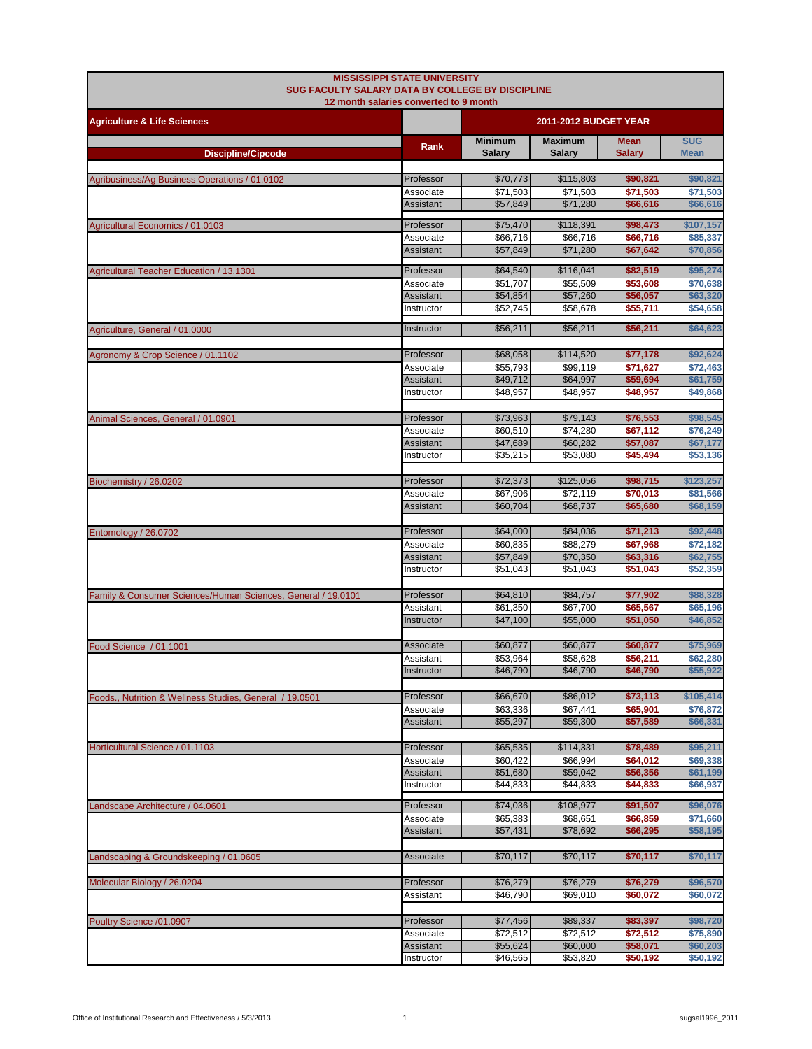| <b>MISSISSIPPI STATE UNIVERSITY</b><br>SUG FACULTY SALARY DATA BY COLLEGE BY DISCIPLINE |                               |                                 |                          |                              |                           |
|-----------------------------------------------------------------------------------------|-------------------------------|---------------------------------|--------------------------|------------------------------|---------------------------|
| 12 month salaries converted to 9 month                                                  |                               |                                 |                          |                              |                           |
| <b>Agriculture &amp; Life Sciences</b>                                                  |                               | 2011-2012 BUDGET YEAR           |                          |                              |                           |
| <b>Discipline/Cipcode</b>                                                               | Rank                          | <b>Minimum</b><br><b>Salarv</b> | <b>Maximum</b><br>Salary | <b>Mean</b><br><b>Salary</b> | <b>SUG</b><br><b>Mean</b> |
|                                                                                         |                               |                                 |                          |                              |                           |
| Agribusiness/Ag Business Operations / 01.0102                                           | Professor                     | \$70,773                        | \$115,803                | \$90,821                     | \$90,821                  |
|                                                                                         | Associate<br>Assistant        | \$71,503<br>\$57,849            | \$71,503<br>\$71,280     | \$71,503<br>\$66,616         | \$71,503<br>\$66,616      |
|                                                                                         |                               |                                 |                          |                              |                           |
| Agricultural Economics / 01.0103                                                        | Professor<br>Associate        | \$75,470<br>\$66,716            | \$118,391<br>\$66,716    | \$98,473<br>\$66,716         | \$107,157<br>\$85,337     |
|                                                                                         | <b>Assistant</b>              | \$57,849                        | \$71,280                 | \$67,642                     | \$70,856                  |
|                                                                                         | Professor                     | \$64,540                        | \$116,041                | \$82,519                     | \$95,274                  |
| Agricultural Teacher Education / 13.1301                                                | Associate                     | \$51,707                        | \$55,509                 | \$53,608                     | \$70,638                  |
|                                                                                         | Assistant                     | \$54,854                        | \$57,260                 | \$56,057                     | \$63,320                  |
|                                                                                         | Instructor                    | \$52,745                        | \$58,678                 | \$55,711                     | \$54,658                  |
| Agriculture, General / 01.0000                                                          | Instructor                    | \$56,211                        | \$56,211                 | \$56,211                     | \$64,623                  |
|                                                                                         |                               |                                 |                          |                              |                           |
| Agronomy & Crop Science / 01.1102                                                       | Professor                     | \$68,058                        | \$114,520                | \$77,178                     | \$92,624                  |
|                                                                                         | Associate<br>Assistant        | \$55,793<br>\$49,712            | \$99,119<br>\$64,997     | \$71,627<br>\$59,694         | \$72.463<br>\$61,759      |
|                                                                                         | Instructor                    | \$48,957                        | \$48,957                 | \$48,957                     | \$49,868                  |
|                                                                                         |                               |                                 |                          |                              |                           |
| Animal Sciences, General / 01.0901                                                      | Professor                     | \$73,963                        | \$79,143                 | \$76,553                     | \$98,545                  |
|                                                                                         | Associate<br>Assistant        | \$60,510<br>\$47,689            | \$74,280<br>\$60,282     | \$67,112<br>\$57,087         | \$76,249<br>\$67,177      |
|                                                                                         | Instructor                    | \$35,215                        | \$53,080                 | \$45,494                     | \$53,136                  |
|                                                                                         |                               |                                 |                          |                              |                           |
| Biochemistry / 26.0202                                                                  | Professor                     | \$72,373                        | \$125,056                | \$98,715                     | \$123,257                 |
|                                                                                         | Associate<br><b>Assistant</b> | \$67,906<br>\$60,704            | \$72,119<br>\$68,737     | \$70,013<br>\$65,680         | \$81,566<br>\$68,159      |
|                                                                                         |                               |                                 |                          |                              |                           |
| Entomology / 26.0702                                                                    | Professor                     | \$64,000                        | \$84,036                 | \$71,213                     | \$92,448                  |
|                                                                                         | Associate                     | \$60,835                        | \$88,279                 | \$67,968                     | \$72,182                  |
|                                                                                         | Assistant<br>Instructor       | \$57,849<br>\$51,043            | \$70,350<br>\$51,043     | \$63,316<br>\$51,043         | \$62,755<br>\$52,359      |
|                                                                                         |                               |                                 |                          |                              |                           |
| Family & Consumer Sciences/Human Sciences, General / 19.0101                            | Professor                     | \$64,810                        | \$84,757                 | \$77,902                     | \$88,328                  |
|                                                                                         | Assistant                     | \$61,350                        | \$67,700                 | \$65,567                     | \$65,196                  |
|                                                                                         | Instructor                    | \$47,100                        | \$55,000                 | \$51,050                     | \$46,852                  |
| Food Science / 01.1001                                                                  | Associate                     | \$60,877                        | \$60,877                 | \$60,877                     | \$75,969                  |
|                                                                                         | Assistant                     | \$53,964                        | \$58,628                 | \$56,211                     | \$62,280                  |
|                                                                                         | Instructor                    | \$46,790                        | \$46,790                 | \$46,790                     | \$55,922                  |
|                                                                                         | Professor                     | \$66,670                        | \$86,012                 | \$73,113                     | \$105,414                 |
| Foods., Nutrition & Wellness Studies, General / 19.0501                                 | Associate                     | \$63,336                        | \$67,441                 | \$65,901                     | \$76,872                  |
|                                                                                         | Assistant                     | \$55,297                        | \$59,300                 | \$57,589                     | \$66,331                  |
|                                                                                         |                               |                                 |                          |                              |                           |
| Horticultural Science / 01.1103                                                         | Professor<br>Associate        | \$65,535<br>\$60,422            | \$114,331<br>\$66,994    | \$78,489<br>\$64,012         | \$95,211<br>\$69,338      |
|                                                                                         | Assistant                     | \$51,680                        | \$59,042                 | \$56,356                     | \$61,199                  |
|                                                                                         | Instructor                    | \$44,833                        | \$44,833                 | \$44,833                     | \$66,937                  |
| Landscape Architecture / 04.0601                                                        | Professor                     | \$74,036                        | \$108,977                | \$91,507                     | \$96,076                  |
|                                                                                         | Associate                     | \$65,383                        | \$68,651                 | \$66,859                     | \$71,660                  |
|                                                                                         | <b>Assistant</b>              | \$57,431                        | \$78,692                 | \$66,295                     | \$58,195                  |
|                                                                                         | Associate                     | \$70,117                        | \$70,117                 | \$70,117                     | \$70,117                  |
| Landscaping & Groundskeeping / 01.0605                                                  |                               |                                 |                          |                              |                           |
| Molecular Biology / 26.0204                                                             | Professor                     | \$76,279                        | \$76,279                 | \$76,279                     | \$96,570                  |
|                                                                                         | Assistant                     | \$46,790                        | \$69,010                 | \$60,072                     | \$60,072                  |
|                                                                                         |                               |                                 |                          |                              |                           |
| Poultry Science /01.0907                                                                | Professor<br>Associate        | \$77,456<br>\$72,512            | \$89,337<br>\$72,512     | \$83,397<br>\$72,512         | \$98,720<br>\$75,890      |
|                                                                                         | Assistant                     | \$55,624                        | \$60,000                 | \$58,071                     | \$60,203                  |
|                                                                                         | Instructor                    | \$46,565                        | \$53,820                 | \$50,192                     | \$50,192                  |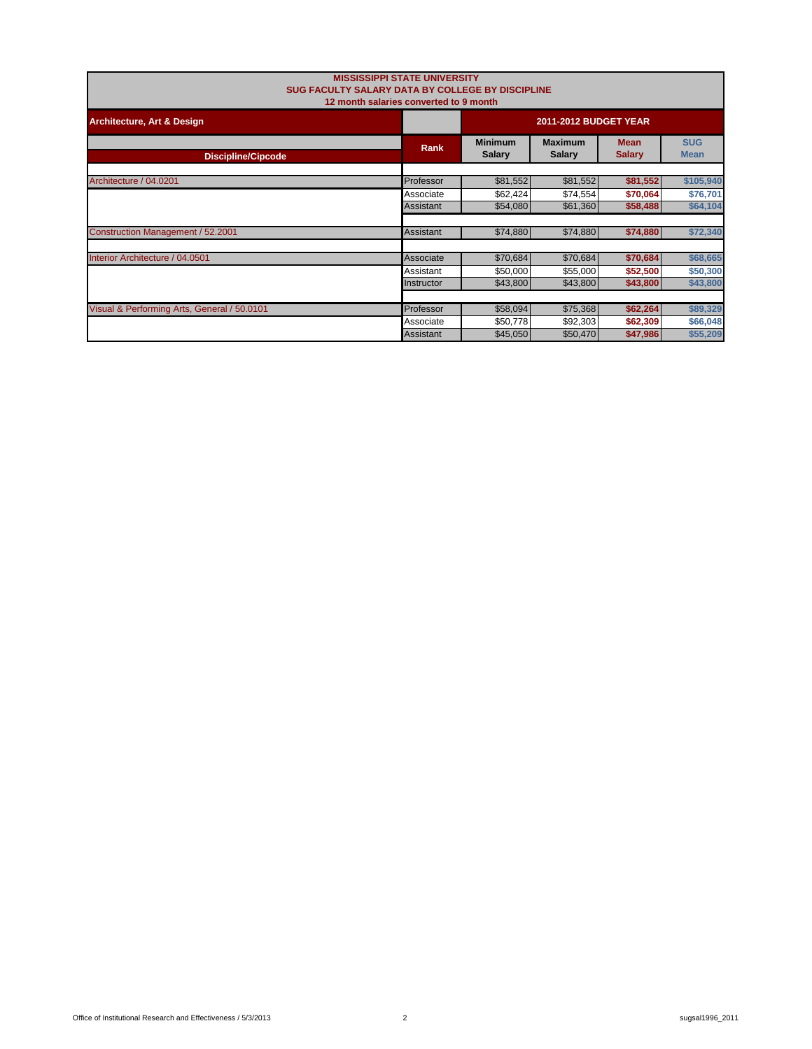| <b>MISSISSIPPI STATE UNIVERSITY</b><br>SUG FACULTY SALARY DATA BY COLLEGE BY DISCIPLINE<br>12 month salaries converted to 9 month |             |                                 |                           |          |           |  |
|-----------------------------------------------------------------------------------------------------------------------------------|-------------|---------------------------------|---------------------------|----------|-----------|--|
| <b>Architecture, Art &amp; Design</b>                                                                                             |             | 2011-2012 BUDGET YEAR           |                           |          |           |  |
| <b>Discipline/Cipcode</b>                                                                                                         | <b>Rank</b> | <b>Minimum</b><br><b>Salary</b> | <b>SUG</b><br><b>Mean</b> |          |           |  |
| Architecture / 04.0201                                                                                                            | Professor   | \$81,552                        | \$81,552                  | \$81,552 | \$105,940 |  |
|                                                                                                                                   | Associate   | \$62,424                        | \$74,554                  | \$70,064 | \$76,701  |  |
|                                                                                                                                   | Assistant   | \$54,080                        | \$61,360                  | \$58,488 | \$64,104  |  |
| Construction Management / 52.2001                                                                                                 | Assistant   | \$74,880                        | \$74,880                  | \$74,880 | \$72,340  |  |
| Interior Architecture / 04.0501                                                                                                   | Associate   | \$70,684                        | \$70,684                  | \$70,684 | \$68,665  |  |
|                                                                                                                                   | Assistant   | \$50,000                        | \$55,000                  | \$52,500 | \$50,300  |  |
|                                                                                                                                   | Instructor  | \$43,800                        | \$43,800                  | \$43,800 | \$43,800  |  |
|                                                                                                                                   |             |                                 |                           |          |           |  |
| Visual & Performing Arts, General / 50.0101                                                                                       | Professor   | \$58,094                        | \$75,368                  | \$62,264 | \$89,329  |  |
|                                                                                                                                   | Associate   | \$50,778                        | \$92,303                  | \$62,309 | \$66,048  |  |
|                                                                                                                                   | Assistant   | \$45,050                        | \$50,470                  | \$47,986 | \$55,209  |  |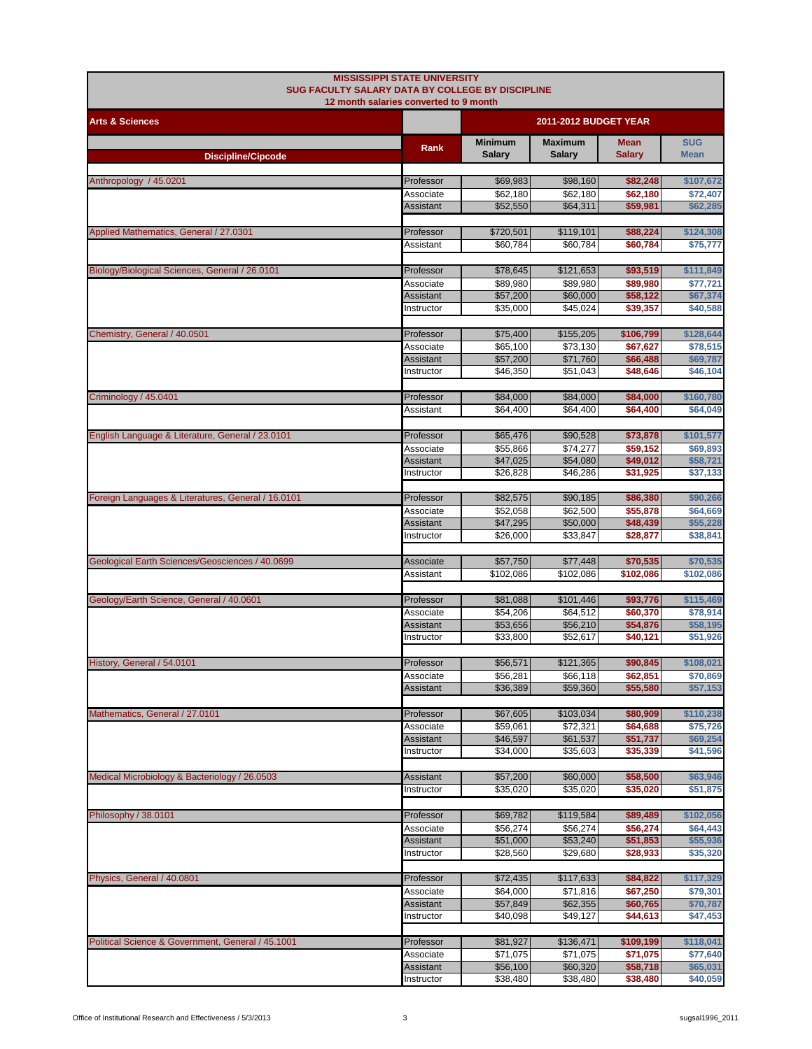| 12 month salaries converted to 9 month<br>2011-2012 BUDGET YEAR<br><b>Arts &amp; Sciences</b><br><b>Maximum</b><br><b>SUG</b><br><b>Minimum</b><br><b>Mean</b><br>Rank<br><b>Salary</b><br><b>Salary</b><br><b>Salary</b><br><b>Mean</b><br><b>Discipline/Cipcode</b><br>Anthropology / 45.0201<br>Professor<br>\$69,983<br>\$98,160<br>\$82,248<br>\$107,672<br>\$62,180<br>\$62,180<br>\$72,407<br>Associate<br>\$62,180<br>\$52,550<br>\$62,285<br>\$64,311<br>\$59,981<br>Assistant<br>Applied Mathematics, General / 27.0301<br>Professor<br>\$720,501<br>\$88,224<br>\$119,101<br>\$124,308<br>\$60,784<br>\$60,784<br>\$60,784<br>\$75,777<br>Assistant<br>Biology/Biological Sciences, General / 26.0101<br>\$93,519<br>Professor<br>\$78,645<br>\$121,653<br>\$111,849<br>\$89,980<br>\$89,980<br>\$89,980<br>Associate<br>\$77,721<br>\$57,200<br>\$60,000<br>\$58,122<br>\$67,374<br>Assistant<br>\$35,000<br>\$45,024<br>\$39,357<br>\$40,588<br>Instructor<br>Chemistry, General / 40.0501<br>Professor<br>\$75,400<br>\$155,205<br>\$106,799<br>\$128,644<br>\$65,100<br>\$73,130<br>\$67,627<br>Associate<br>\$78,515<br>\$71,760<br>\$66,488<br>\$69,787<br>Assistant<br>\$57,200<br>\$46,350<br>\$51,043<br>\$48,646<br>\$46,104<br>Instructor<br>Criminology / 45.0401<br>\$84,000<br>\$84,000<br>\$84,000<br>\$160,780<br>Professor<br>\$64,400<br>\$64,400<br>\$64,400<br>Assistant<br>\$64,049<br>\$65,476<br>English Language & Literature, General / 23.0101<br>Professor<br>\$90,528<br>\$73,878<br>\$101,577<br>\$55,866<br>\$74,277<br>\$59,152<br>\$69,893<br>Associate<br>\$47,025<br>Assistant<br>\$54,080<br>\$49,012<br>\$58,721<br>\$26,828<br>\$31,925<br>Instructor<br>\$46,286<br>\$37,133<br>Foreign Languages & Literatures, General / 16.0101<br>\$82,575<br>\$90,185<br>\$86,380<br>\$90,266<br>Professor<br>\$52,058<br>\$62,500<br>\$55,878<br>\$64,669<br>Associate<br>\$47,295<br>\$50,000<br>\$48,439<br>\$55,228<br>Assistant<br>\$26,000<br>\$33,847<br>\$28,877<br>\$38,841<br>Instructor<br>Geological Earth Sciences/Geosciences / 40.0699<br>\$57,750<br>\$70,535<br>\$70,535<br>Associate<br>\$77,448<br>\$102,086<br>\$102,086<br>\$102,086<br>\$102,086<br>Assistant<br>Geology/Earth Science, General / 40.0601<br>Professor<br>\$81,088<br>\$101,446<br>\$93,776<br>\$115,469<br>\$54,206<br>\$60,370<br>Associate<br>\$64,512<br>\$78,914<br>\$53,656<br>\$56,210<br>\$54,876<br>\$58,195<br>Assistant<br>\$33,800<br>\$52,617<br>\$40,121<br>\$51,926<br>Instructor<br>Professor<br>\$56,571<br>\$121,365<br>\$90,845<br>\$108,021<br>History, General / 54.0101<br>\$70,869<br>Associate<br>\$56,281<br>\$66,118<br>\$62,851<br>\$36,389<br>\$59,360<br>\$55,580<br>\$57,153<br>Assistant<br>\$110,238<br>Mathematics, General / 27.0101<br>\$67,605<br>\$103,034<br>\$80,909<br>Professor<br>\$59,061<br>\$72,321<br>\$75,726<br>\$64,688<br>Associate<br>\$69,254<br>\$46,597<br>\$61,537<br>\$51,737<br>Assistant<br>\$34,000<br>\$35,603<br>\$35,339<br>\$41,596<br>Instructor<br>\$63,946<br>\$57,200<br>\$60,000<br>\$58,500<br>Assistant<br>\$35,020<br>\$35,020<br>\$35,020<br>\$51,875<br>Instructor<br>Philosophy / 38.0101<br>\$69,782<br>\$119,584<br>\$89,489<br>\$102,056<br>Professor<br>\$56,274<br>\$56,274<br>\$64,443<br>\$56,274<br>Associate<br>\$51,000<br>\$53,240<br>\$51,853<br>\$55,936<br>Assistant<br>\$28,560<br>\$29,680<br>\$35,320<br>\$28,933<br>Instructor<br>\$117,329<br>Professor<br>\$72,435<br>\$117,633<br>\$84,822<br>\$71,816<br>\$67,250<br>\$79,301<br>\$64,000<br>Associate<br>\$57,849<br>\$62,355<br>\$60,765<br>\$70,787<br>Assistant<br>\$40,098<br>\$49,127<br>\$44,613<br>\$47,453<br>Instructor<br>\$81,927<br>\$136,471<br>\$109,199<br>\$118,041<br>Professor<br>\$71,075<br>\$71,075<br>\$71,075<br>\$77,640<br>Associate<br>\$56,100<br>\$58,718<br>\$65,031<br>\$60,320<br>Assistant<br>\$38,480<br>\$38,480<br>\$40,059<br>Instructor<br>\$38,480 | SUG FACULTY SALARY DATA BY COLLEGE BY DISCIPLINE  | <b>MISSISSIPPI STATE UNIVERSITY</b> |  |  |  |  |
|-----------------------------------------------------------------------------------------------------------------------------------------------------------------------------------------------------------------------------------------------------------------------------------------------------------------------------------------------------------------------------------------------------------------------------------------------------------------------------------------------------------------------------------------------------------------------------------------------------------------------------------------------------------------------------------------------------------------------------------------------------------------------------------------------------------------------------------------------------------------------------------------------------------------------------------------------------------------------------------------------------------------------------------------------------------------------------------------------------------------------------------------------------------------------------------------------------------------------------------------------------------------------------------------------------------------------------------------------------------------------------------------------------------------------------------------------------------------------------------------------------------------------------------------------------------------------------------------------------------------------------------------------------------------------------------------------------------------------------------------------------------------------------------------------------------------------------------------------------------------------------------------------------------------------------------------------------------------------------------------------------------------------------------------------------------------------------------------------------------------------------------------------------------------------------------------------------------------------------------------------------------------------------------------------------------------------------------------------------------------------------------------------------------------------------------------------------------------------------------------------------------------------------------------------------------------------------------------------------------------------------------------------------------------------------------------------------------------------------------------------------------------------------------------------------------------------------------------------------------------------------------------------------------------------------------------------------------------------------------------------------------------------------------------------------------------------------------------------------------------------------------------------------------------------------------------------------------------------------------------------------------------------------------------------------------------------------------------------------------------------------------------------------------------------------------------------------------------------------------------------------------------------------------------------------------------------------------------------------------------------------------------------------------------------------------------------------------------------------------------------------------------------------------------------------------------------------------------------------------------------------------------------------------------------------------------------------------------------|---------------------------------------------------|-------------------------------------|--|--|--|--|
|                                                                                                                                                                                                                                                                                                                                                                                                                                                                                                                                                                                                                                                                                                                                                                                                                                                                                                                                                                                                                                                                                                                                                                                                                                                                                                                                                                                                                                                                                                                                                                                                                                                                                                                                                                                                                                                                                                                                                                                                                                                                                                                                                                                                                                                                                                                                                                                                                                                                                                                                                                                                                                                                                                                                                                                                                                                                                                                                                                                                                                                                                                                                                                                                                                                                                                                                                                                                                                                                                                                                                                                                                                                                                                                                                                                                                                                                                                                                                                       |                                                   |                                     |  |  |  |  |
|                                                                                                                                                                                                                                                                                                                                                                                                                                                                                                                                                                                                                                                                                                                                                                                                                                                                                                                                                                                                                                                                                                                                                                                                                                                                                                                                                                                                                                                                                                                                                                                                                                                                                                                                                                                                                                                                                                                                                                                                                                                                                                                                                                                                                                                                                                                                                                                                                                                                                                                                                                                                                                                                                                                                                                                                                                                                                                                                                                                                                                                                                                                                                                                                                                                                                                                                                                                                                                                                                                                                                                                                                                                                                                                                                                                                                                                                                                                                                                       |                                                   |                                     |  |  |  |  |
|                                                                                                                                                                                                                                                                                                                                                                                                                                                                                                                                                                                                                                                                                                                                                                                                                                                                                                                                                                                                                                                                                                                                                                                                                                                                                                                                                                                                                                                                                                                                                                                                                                                                                                                                                                                                                                                                                                                                                                                                                                                                                                                                                                                                                                                                                                                                                                                                                                                                                                                                                                                                                                                                                                                                                                                                                                                                                                                                                                                                                                                                                                                                                                                                                                                                                                                                                                                                                                                                                                                                                                                                                                                                                                                                                                                                                                                                                                                                                                       |                                                   |                                     |  |  |  |  |
|                                                                                                                                                                                                                                                                                                                                                                                                                                                                                                                                                                                                                                                                                                                                                                                                                                                                                                                                                                                                                                                                                                                                                                                                                                                                                                                                                                                                                                                                                                                                                                                                                                                                                                                                                                                                                                                                                                                                                                                                                                                                                                                                                                                                                                                                                                                                                                                                                                                                                                                                                                                                                                                                                                                                                                                                                                                                                                                                                                                                                                                                                                                                                                                                                                                                                                                                                                                                                                                                                                                                                                                                                                                                                                                                                                                                                                                                                                                                                                       |                                                   |                                     |  |  |  |  |
|                                                                                                                                                                                                                                                                                                                                                                                                                                                                                                                                                                                                                                                                                                                                                                                                                                                                                                                                                                                                                                                                                                                                                                                                                                                                                                                                                                                                                                                                                                                                                                                                                                                                                                                                                                                                                                                                                                                                                                                                                                                                                                                                                                                                                                                                                                                                                                                                                                                                                                                                                                                                                                                                                                                                                                                                                                                                                                                                                                                                                                                                                                                                                                                                                                                                                                                                                                                                                                                                                                                                                                                                                                                                                                                                                                                                                                                                                                                                                                       |                                                   |                                     |  |  |  |  |
|                                                                                                                                                                                                                                                                                                                                                                                                                                                                                                                                                                                                                                                                                                                                                                                                                                                                                                                                                                                                                                                                                                                                                                                                                                                                                                                                                                                                                                                                                                                                                                                                                                                                                                                                                                                                                                                                                                                                                                                                                                                                                                                                                                                                                                                                                                                                                                                                                                                                                                                                                                                                                                                                                                                                                                                                                                                                                                                                                                                                                                                                                                                                                                                                                                                                                                                                                                                                                                                                                                                                                                                                                                                                                                                                                                                                                                                                                                                                                                       |                                                   |                                     |  |  |  |  |
|                                                                                                                                                                                                                                                                                                                                                                                                                                                                                                                                                                                                                                                                                                                                                                                                                                                                                                                                                                                                                                                                                                                                                                                                                                                                                                                                                                                                                                                                                                                                                                                                                                                                                                                                                                                                                                                                                                                                                                                                                                                                                                                                                                                                                                                                                                                                                                                                                                                                                                                                                                                                                                                                                                                                                                                                                                                                                                                                                                                                                                                                                                                                                                                                                                                                                                                                                                                                                                                                                                                                                                                                                                                                                                                                                                                                                                                                                                                                                                       |                                                   |                                     |  |  |  |  |
|                                                                                                                                                                                                                                                                                                                                                                                                                                                                                                                                                                                                                                                                                                                                                                                                                                                                                                                                                                                                                                                                                                                                                                                                                                                                                                                                                                                                                                                                                                                                                                                                                                                                                                                                                                                                                                                                                                                                                                                                                                                                                                                                                                                                                                                                                                                                                                                                                                                                                                                                                                                                                                                                                                                                                                                                                                                                                                                                                                                                                                                                                                                                                                                                                                                                                                                                                                                                                                                                                                                                                                                                                                                                                                                                                                                                                                                                                                                                                                       |                                                   |                                     |  |  |  |  |
|                                                                                                                                                                                                                                                                                                                                                                                                                                                                                                                                                                                                                                                                                                                                                                                                                                                                                                                                                                                                                                                                                                                                                                                                                                                                                                                                                                                                                                                                                                                                                                                                                                                                                                                                                                                                                                                                                                                                                                                                                                                                                                                                                                                                                                                                                                                                                                                                                                                                                                                                                                                                                                                                                                                                                                                                                                                                                                                                                                                                                                                                                                                                                                                                                                                                                                                                                                                                                                                                                                                                                                                                                                                                                                                                                                                                                                                                                                                                                                       |                                                   |                                     |  |  |  |  |
|                                                                                                                                                                                                                                                                                                                                                                                                                                                                                                                                                                                                                                                                                                                                                                                                                                                                                                                                                                                                                                                                                                                                                                                                                                                                                                                                                                                                                                                                                                                                                                                                                                                                                                                                                                                                                                                                                                                                                                                                                                                                                                                                                                                                                                                                                                                                                                                                                                                                                                                                                                                                                                                                                                                                                                                                                                                                                                                                                                                                                                                                                                                                                                                                                                                                                                                                                                                                                                                                                                                                                                                                                                                                                                                                                                                                                                                                                                                                                                       |                                                   |                                     |  |  |  |  |
|                                                                                                                                                                                                                                                                                                                                                                                                                                                                                                                                                                                                                                                                                                                                                                                                                                                                                                                                                                                                                                                                                                                                                                                                                                                                                                                                                                                                                                                                                                                                                                                                                                                                                                                                                                                                                                                                                                                                                                                                                                                                                                                                                                                                                                                                                                                                                                                                                                                                                                                                                                                                                                                                                                                                                                                                                                                                                                                                                                                                                                                                                                                                                                                                                                                                                                                                                                                                                                                                                                                                                                                                                                                                                                                                                                                                                                                                                                                                                                       |                                                   |                                     |  |  |  |  |
|                                                                                                                                                                                                                                                                                                                                                                                                                                                                                                                                                                                                                                                                                                                                                                                                                                                                                                                                                                                                                                                                                                                                                                                                                                                                                                                                                                                                                                                                                                                                                                                                                                                                                                                                                                                                                                                                                                                                                                                                                                                                                                                                                                                                                                                                                                                                                                                                                                                                                                                                                                                                                                                                                                                                                                                                                                                                                                                                                                                                                                                                                                                                                                                                                                                                                                                                                                                                                                                                                                                                                                                                                                                                                                                                                                                                                                                                                                                                                                       |                                                   |                                     |  |  |  |  |
|                                                                                                                                                                                                                                                                                                                                                                                                                                                                                                                                                                                                                                                                                                                                                                                                                                                                                                                                                                                                                                                                                                                                                                                                                                                                                                                                                                                                                                                                                                                                                                                                                                                                                                                                                                                                                                                                                                                                                                                                                                                                                                                                                                                                                                                                                                                                                                                                                                                                                                                                                                                                                                                                                                                                                                                                                                                                                                                                                                                                                                                                                                                                                                                                                                                                                                                                                                                                                                                                                                                                                                                                                                                                                                                                                                                                                                                                                                                                                                       |                                                   |                                     |  |  |  |  |
|                                                                                                                                                                                                                                                                                                                                                                                                                                                                                                                                                                                                                                                                                                                                                                                                                                                                                                                                                                                                                                                                                                                                                                                                                                                                                                                                                                                                                                                                                                                                                                                                                                                                                                                                                                                                                                                                                                                                                                                                                                                                                                                                                                                                                                                                                                                                                                                                                                                                                                                                                                                                                                                                                                                                                                                                                                                                                                                                                                                                                                                                                                                                                                                                                                                                                                                                                                                                                                                                                                                                                                                                                                                                                                                                                                                                                                                                                                                                                                       |                                                   |                                     |  |  |  |  |
|                                                                                                                                                                                                                                                                                                                                                                                                                                                                                                                                                                                                                                                                                                                                                                                                                                                                                                                                                                                                                                                                                                                                                                                                                                                                                                                                                                                                                                                                                                                                                                                                                                                                                                                                                                                                                                                                                                                                                                                                                                                                                                                                                                                                                                                                                                                                                                                                                                                                                                                                                                                                                                                                                                                                                                                                                                                                                                                                                                                                                                                                                                                                                                                                                                                                                                                                                                                                                                                                                                                                                                                                                                                                                                                                                                                                                                                                                                                                                                       |                                                   |                                     |  |  |  |  |
|                                                                                                                                                                                                                                                                                                                                                                                                                                                                                                                                                                                                                                                                                                                                                                                                                                                                                                                                                                                                                                                                                                                                                                                                                                                                                                                                                                                                                                                                                                                                                                                                                                                                                                                                                                                                                                                                                                                                                                                                                                                                                                                                                                                                                                                                                                                                                                                                                                                                                                                                                                                                                                                                                                                                                                                                                                                                                                                                                                                                                                                                                                                                                                                                                                                                                                                                                                                                                                                                                                                                                                                                                                                                                                                                                                                                                                                                                                                                                                       |                                                   |                                     |  |  |  |  |
|                                                                                                                                                                                                                                                                                                                                                                                                                                                                                                                                                                                                                                                                                                                                                                                                                                                                                                                                                                                                                                                                                                                                                                                                                                                                                                                                                                                                                                                                                                                                                                                                                                                                                                                                                                                                                                                                                                                                                                                                                                                                                                                                                                                                                                                                                                                                                                                                                                                                                                                                                                                                                                                                                                                                                                                                                                                                                                                                                                                                                                                                                                                                                                                                                                                                                                                                                                                                                                                                                                                                                                                                                                                                                                                                                                                                                                                                                                                                                                       |                                                   |                                     |  |  |  |  |
|                                                                                                                                                                                                                                                                                                                                                                                                                                                                                                                                                                                                                                                                                                                                                                                                                                                                                                                                                                                                                                                                                                                                                                                                                                                                                                                                                                                                                                                                                                                                                                                                                                                                                                                                                                                                                                                                                                                                                                                                                                                                                                                                                                                                                                                                                                                                                                                                                                                                                                                                                                                                                                                                                                                                                                                                                                                                                                                                                                                                                                                                                                                                                                                                                                                                                                                                                                                                                                                                                                                                                                                                                                                                                                                                                                                                                                                                                                                                                                       |                                                   |                                     |  |  |  |  |
|                                                                                                                                                                                                                                                                                                                                                                                                                                                                                                                                                                                                                                                                                                                                                                                                                                                                                                                                                                                                                                                                                                                                                                                                                                                                                                                                                                                                                                                                                                                                                                                                                                                                                                                                                                                                                                                                                                                                                                                                                                                                                                                                                                                                                                                                                                                                                                                                                                                                                                                                                                                                                                                                                                                                                                                                                                                                                                                                                                                                                                                                                                                                                                                                                                                                                                                                                                                                                                                                                                                                                                                                                                                                                                                                                                                                                                                                                                                                                                       |                                                   |                                     |  |  |  |  |
|                                                                                                                                                                                                                                                                                                                                                                                                                                                                                                                                                                                                                                                                                                                                                                                                                                                                                                                                                                                                                                                                                                                                                                                                                                                                                                                                                                                                                                                                                                                                                                                                                                                                                                                                                                                                                                                                                                                                                                                                                                                                                                                                                                                                                                                                                                                                                                                                                                                                                                                                                                                                                                                                                                                                                                                                                                                                                                                                                                                                                                                                                                                                                                                                                                                                                                                                                                                                                                                                                                                                                                                                                                                                                                                                                                                                                                                                                                                                                                       |                                                   |                                     |  |  |  |  |
|                                                                                                                                                                                                                                                                                                                                                                                                                                                                                                                                                                                                                                                                                                                                                                                                                                                                                                                                                                                                                                                                                                                                                                                                                                                                                                                                                                                                                                                                                                                                                                                                                                                                                                                                                                                                                                                                                                                                                                                                                                                                                                                                                                                                                                                                                                                                                                                                                                                                                                                                                                                                                                                                                                                                                                                                                                                                                                                                                                                                                                                                                                                                                                                                                                                                                                                                                                                                                                                                                                                                                                                                                                                                                                                                                                                                                                                                                                                                                                       |                                                   |                                     |  |  |  |  |
|                                                                                                                                                                                                                                                                                                                                                                                                                                                                                                                                                                                                                                                                                                                                                                                                                                                                                                                                                                                                                                                                                                                                                                                                                                                                                                                                                                                                                                                                                                                                                                                                                                                                                                                                                                                                                                                                                                                                                                                                                                                                                                                                                                                                                                                                                                                                                                                                                                                                                                                                                                                                                                                                                                                                                                                                                                                                                                                                                                                                                                                                                                                                                                                                                                                                                                                                                                                                                                                                                                                                                                                                                                                                                                                                                                                                                                                                                                                                                                       |                                                   |                                     |  |  |  |  |
|                                                                                                                                                                                                                                                                                                                                                                                                                                                                                                                                                                                                                                                                                                                                                                                                                                                                                                                                                                                                                                                                                                                                                                                                                                                                                                                                                                                                                                                                                                                                                                                                                                                                                                                                                                                                                                                                                                                                                                                                                                                                                                                                                                                                                                                                                                                                                                                                                                                                                                                                                                                                                                                                                                                                                                                                                                                                                                                                                                                                                                                                                                                                                                                                                                                                                                                                                                                                                                                                                                                                                                                                                                                                                                                                                                                                                                                                                                                                                                       |                                                   |                                     |  |  |  |  |
|                                                                                                                                                                                                                                                                                                                                                                                                                                                                                                                                                                                                                                                                                                                                                                                                                                                                                                                                                                                                                                                                                                                                                                                                                                                                                                                                                                                                                                                                                                                                                                                                                                                                                                                                                                                                                                                                                                                                                                                                                                                                                                                                                                                                                                                                                                                                                                                                                                                                                                                                                                                                                                                                                                                                                                                                                                                                                                                                                                                                                                                                                                                                                                                                                                                                                                                                                                                                                                                                                                                                                                                                                                                                                                                                                                                                                                                                                                                                                                       |                                                   |                                     |  |  |  |  |
|                                                                                                                                                                                                                                                                                                                                                                                                                                                                                                                                                                                                                                                                                                                                                                                                                                                                                                                                                                                                                                                                                                                                                                                                                                                                                                                                                                                                                                                                                                                                                                                                                                                                                                                                                                                                                                                                                                                                                                                                                                                                                                                                                                                                                                                                                                                                                                                                                                                                                                                                                                                                                                                                                                                                                                                                                                                                                                                                                                                                                                                                                                                                                                                                                                                                                                                                                                                                                                                                                                                                                                                                                                                                                                                                                                                                                                                                                                                                                                       |                                                   |                                     |  |  |  |  |
|                                                                                                                                                                                                                                                                                                                                                                                                                                                                                                                                                                                                                                                                                                                                                                                                                                                                                                                                                                                                                                                                                                                                                                                                                                                                                                                                                                                                                                                                                                                                                                                                                                                                                                                                                                                                                                                                                                                                                                                                                                                                                                                                                                                                                                                                                                                                                                                                                                                                                                                                                                                                                                                                                                                                                                                                                                                                                                                                                                                                                                                                                                                                                                                                                                                                                                                                                                                                                                                                                                                                                                                                                                                                                                                                                                                                                                                                                                                                                                       |                                                   |                                     |  |  |  |  |
|                                                                                                                                                                                                                                                                                                                                                                                                                                                                                                                                                                                                                                                                                                                                                                                                                                                                                                                                                                                                                                                                                                                                                                                                                                                                                                                                                                                                                                                                                                                                                                                                                                                                                                                                                                                                                                                                                                                                                                                                                                                                                                                                                                                                                                                                                                                                                                                                                                                                                                                                                                                                                                                                                                                                                                                                                                                                                                                                                                                                                                                                                                                                                                                                                                                                                                                                                                                                                                                                                                                                                                                                                                                                                                                                                                                                                                                                                                                                                                       |                                                   |                                     |  |  |  |  |
|                                                                                                                                                                                                                                                                                                                                                                                                                                                                                                                                                                                                                                                                                                                                                                                                                                                                                                                                                                                                                                                                                                                                                                                                                                                                                                                                                                                                                                                                                                                                                                                                                                                                                                                                                                                                                                                                                                                                                                                                                                                                                                                                                                                                                                                                                                                                                                                                                                                                                                                                                                                                                                                                                                                                                                                                                                                                                                                                                                                                                                                                                                                                                                                                                                                                                                                                                                                                                                                                                                                                                                                                                                                                                                                                                                                                                                                                                                                                                                       |                                                   |                                     |  |  |  |  |
|                                                                                                                                                                                                                                                                                                                                                                                                                                                                                                                                                                                                                                                                                                                                                                                                                                                                                                                                                                                                                                                                                                                                                                                                                                                                                                                                                                                                                                                                                                                                                                                                                                                                                                                                                                                                                                                                                                                                                                                                                                                                                                                                                                                                                                                                                                                                                                                                                                                                                                                                                                                                                                                                                                                                                                                                                                                                                                                                                                                                                                                                                                                                                                                                                                                                                                                                                                                                                                                                                                                                                                                                                                                                                                                                                                                                                                                                                                                                                                       |                                                   |                                     |  |  |  |  |
|                                                                                                                                                                                                                                                                                                                                                                                                                                                                                                                                                                                                                                                                                                                                                                                                                                                                                                                                                                                                                                                                                                                                                                                                                                                                                                                                                                                                                                                                                                                                                                                                                                                                                                                                                                                                                                                                                                                                                                                                                                                                                                                                                                                                                                                                                                                                                                                                                                                                                                                                                                                                                                                                                                                                                                                                                                                                                                                                                                                                                                                                                                                                                                                                                                                                                                                                                                                                                                                                                                                                                                                                                                                                                                                                                                                                                                                                                                                                                                       |                                                   |                                     |  |  |  |  |
|                                                                                                                                                                                                                                                                                                                                                                                                                                                                                                                                                                                                                                                                                                                                                                                                                                                                                                                                                                                                                                                                                                                                                                                                                                                                                                                                                                                                                                                                                                                                                                                                                                                                                                                                                                                                                                                                                                                                                                                                                                                                                                                                                                                                                                                                                                                                                                                                                                                                                                                                                                                                                                                                                                                                                                                                                                                                                                                                                                                                                                                                                                                                                                                                                                                                                                                                                                                                                                                                                                                                                                                                                                                                                                                                                                                                                                                                                                                                                                       |                                                   |                                     |  |  |  |  |
|                                                                                                                                                                                                                                                                                                                                                                                                                                                                                                                                                                                                                                                                                                                                                                                                                                                                                                                                                                                                                                                                                                                                                                                                                                                                                                                                                                                                                                                                                                                                                                                                                                                                                                                                                                                                                                                                                                                                                                                                                                                                                                                                                                                                                                                                                                                                                                                                                                                                                                                                                                                                                                                                                                                                                                                                                                                                                                                                                                                                                                                                                                                                                                                                                                                                                                                                                                                                                                                                                                                                                                                                                                                                                                                                                                                                                                                                                                                                                                       |                                                   |                                     |  |  |  |  |
|                                                                                                                                                                                                                                                                                                                                                                                                                                                                                                                                                                                                                                                                                                                                                                                                                                                                                                                                                                                                                                                                                                                                                                                                                                                                                                                                                                                                                                                                                                                                                                                                                                                                                                                                                                                                                                                                                                                                                                                                                                                                                                                                                                                                                                                                                                                                                                                                                                                                                                                                                                                                                                                                                                                                                                                                                                                                                                                                                                                                                                                                                                                                                                                                                                                                                                                                                                                                                                                                                                                                                                                                                                                                                                                                                                                                                                                                                                                                                                       |                                                   |                                     |  |  |  |  |
|                                                                                                                                                                                                                                                                                                                                                                                                                                                                                                                                                                                                                                                                                                                                                                                                                                                                                                                                                                                                                                                                                                                                                                                                                                                                                                                                                                                                                                                                                                                                                                                                                                                                                                                                                                                                                                                                                                                                                                                                                                                                                                                                                                                                                                                                                                                                                                                                                                                                                                                                                                                                                                                                                                                                                                                                                                                                                                                                                                                                                                                                                                                                                                                                                                                                                                                                                                                                                                                                                                                                                                                                                                                                                                                                                                                                                                                                                                                                                                       |                                                   |                                     |  |  |  |  |
|                                                                                                                                                                                                                                                                                                                                                                                                                                                                                                                                                                                                                                                                                                                                                                                                                                                                                                                                                                                                                                                                                                                                                                                                                                                                                                                                                                                                                                                                                                                                                                                                                                                                                                                                                                                                                                                                                                                                                                                                                                                                                                                                                                                                                                                                                                                                                                                                                                                                                                                                                                                                                                                                                                                                                                                                                                                                                                                                                                                                                                                                                                                                                                                                                                                                                                                                                                                                                                                                                                                                                                                                                                                                                                                                                                                                                                                                                                                                                                       |                                                   |                                     |  |  |  |  |
|                                                                                                                                                                                                                                                                                                                                                                                                                                                                                                                                                                                                                                                                                                                                                                                                                                                                                                                                                                                                                                                                                                                                                                                                                                                                                                                                                                                                                                                                                                                                                                                                                                                                                                                                                                                                                                                                                                                                                                                                                                                                                                                                                                                                                                                                                                                                                                                                                                                                                                                                                                                                                                                                                                                                                                                                                                                                                                                                                                                                                                                                                                                                                                                                                                                                                                                                                                                                                                                                                                                                                                                                                                                                                                                                                                                                                                                                                                                                                                       |                                                   |                                     |  |  |  |  |
|                                                                                                                                                                                                                                                                                                                                                                                                                                                                                                                                                                                                                                                                                                                                                                                                                                                                                                                                                                                                                                                                                                                                                                                                                                                                                                                                                                                                                                                                                                                                                                                                                                                                                                                                                                                                                                                                                                                                                                                                                                                                                                                                                                                                                                                                                                                                                                                                                                                                                                                                                                                                                                                                                                                                                                                                                                                                                                                                                                                                                                                                                                                                                                                                                                                                                                                                                                                                                                                                                                                                                                                                                                                                                                                                                                                                                                                                                                                                                                       |                                                   |                                     |  |  |  |  |
|                                                                                                                                                                                                                                                                                                                                                                                                                                                                                                                                                                                                                                                                                                                                                                                                                                                                                                                                                                                                                                                                                                                                                                                                                                                                                                                                                                                                                                                                                                                                                                                                                                                                                                                                                                                                                                                                                                                                                                                                                                                                                                                                                                                                                                                                                                                                                                                                                                                                                                                                                                                                                                                                                                                                                                                                                                                                                                                                                                                                                                                                                                                                                                                                                                                                                                                                                                                                                                                                                                                                                                                                                                                                                                                                                                                                                                                                                                                                                                       |                                                   |                                     |  |  |  |  |
|                                                                                                                                                                                                                                                                                                                                                                                                                                                                                                                                                                                                                                                                                                                                                                                                                                                                                                                                                                                                                                                                                                                                                                                                                                                                                                                                                                                                                                                                                                                                                                                                                                                                                                                                                                                                                                                                                                                                                                                                                                                                                                                                                                                                                                                                                                                                                                                                                                                                                                                                                                                                                                                                                                                                                                                                                                                                                                                                                                                                                                                                                                                                                                                                                                                                                                                                                                                                                                                                                                                                                                                                                                                                                                                                                                                                                                                                                                                                                                       |                                                   |                                     |  |  |  |  |
|                                                                                                                                                                                                                                                                                                                                                                                                                                                                                                                                                                                                                                                                                                                                                                                                                                                                                                                                                                                                                                                                                                                                                                                                                                                                                                                                                                                                                                                                                                                                                                                                                                                                                                                                                                                                                                                                                                                                                                                                                                                                                                                                                                                                                                                                                                                                                                                                                                                                                                                                                                                                                                                                                                                                                                                                                                                                                                                                                                                                                                                                                                                                                                                                                                                                                                                                                                                                                                                                                                                                                                                                                                                                                                                                                                                                                                                                                                                                                                       | Medical Microbiology & Bacteriology / 26.0503     |                                     |  |  |  |  |
|                                                                                                                                                                                                                                                                                                                                                                                                                                                                                                                                                                                                                                                                                                                                                                                                                                                                                                                                                                                                                                                                                                                                                                                                                                                                                                                                                                                                                                                                                                                                                                                                                                                                                                                                                                                                                                                                                                                                                                                                                                                                                                                                                                                                                                                                                                                                                                                                                                                                                                                                                                                                                                                                                                                                                                                                                                                                                                                                                                                                                                                                                                                                                                                                                                                                                                                                                                                                                                                                                                                                                                                                                                                                                                                                                                                                                                                                                                                                                                       |                                                   |                                     |  |  |  |  |
|                                                                                                                                                                                                                                                                                                                                                                                                                                                                                                                                                                                                                                                                                                                                                                                                                                                                                                                                                                                                                                                                                                                                                                                                                                                                                                                                                                                                                                                                                                                                                                                                                                                                                                                                                                                                                                                                                                                                                                                                                                                                                                                                                                                                                                                                                                                                                                                                                                                                                                                                                                                                                                                                                                                                                                                                                                                                                                                                                                                                                                                                                                                                                                                                                                                                                                                                                                                                                                                                                                                                                                                                                                                                                                                                                                                                                                                                                                                                                                       |                                                   |                                     |  |  |  |  |
|                                                                                                                                                                                                                                                                                                                                                                                                                                                                                                                                                                                                                                                                                                                                                                                                                                                                                                                                                                                                                                                                                                                                                                                                                                                                                                                                                                                                                                                                                                                                                                                                                                                                                                                                                                                                                                                                                                                                                                                                                                                                                                                                                                                                                                                                                                                                                                                                                                                                                                                                                                                                                                                                                                                                                                                                                                                                                                                                                                                                                                                                                                                                                                                                                                                                                                                                                                                                                                                                                                                                                                                                                                                                                                                                                                                                                                                                                                                                                                       |                                                   |                                     |  |  |  |  |
|                                                                                                                                                                                                                                                                                                                                                                                                                                                                                                                                                                                                                                                                                                                                                                                                                                                                                                                                                                                                                                                                                                                                                                                                                                                                                                                                                                                                                                                                                                                                                                                                                                                                                                                                                                                                                                                                                                                                                                                                                                                                                                                                                                                                                                                                                                                                                                                                                                                                                                                                                                                                                                                                                                                                                                                                                                                                                                                                                                                                                                                                                                                                                                                                                                                                                                                                                                                                                                                                                                                                                                                                                                                                                                                                                                                                                                                                                                                                                                       |                                                   |                                     |  |  |  |  |
|                                                                                                                                                                                                                                                                                                                                                                                                                                                                                                                                                                                                                                                                                                                                                                                                                                                                                                                                                                                                                                                                                                                                                                                                                                                                                                                                                                                                                                                                                                                                                                                                                                                                                                                                                                                                                                                                                                                                                                                                                                                                                                                                                                                                                                                                                                                                                                                                                                                                                                                                                                                                                                                                                                                                                                                                                                                                                                                                                                                                                                                                                                                                                                                                                                                                                                                                                                                                                                                                                                                                                                                                                                                                                                                                                                                                                                                                                                                                                                       |                                                   |                                     |  |  |  |  |
|                                                                                                                                                                                                                                                                                                                                                                                                                                                                                                                                                                                                                                                                                                                                                                                                                                                                                                                                                                                                                                                                                                                                                                                                                                                                                                                                                                                                                                                                                                                                                                                                                                                                                                                                                                                                                                                                                                                                                                                                                                                                                                                                                                                                                                                                                                                                                                                                                                                                                                                                                                                                                                                                                                                                                                                                                                                                                                                                                                                                                                                                                                                                                                                                                                                                                                                                                                                                                                                                                                                                                                                                                                                                                                                                                                                                                                                                                                                                                                       | Physics, General / 40.0801                        |                                     |  |  |  |  |
|                                                                                                                                                                                                                                                                                                                                                                                                                                                                                                                                                                                                                                                                                                                                                                                                                                                                                                                                                                                                                                                                                                                                                                                                                                                                                                                                                                                                                                                                                                                                                                                                                                                                                                                                                                                                                                                                                                                                                                                                                                                                                                                                                                                                                                                                                                                                                                                                                                                                                                                                                                                                                                                                                                                                                                                                                                                                                                                                                                                                                                                                                                                                                                                                                                                                                                                                                                                                                                                                                                                                                                                                                                                                                                                                                                                                                                                                                                                                                                       |                                                   |                                     |  |  |  |  |
|                                                                                                                                                                                                                                                                                                                                                                                                                                                                                                                                                                                                                                                                                                                                                                                                                                                                                                                                                                                                                                                                                                                                                                                                                                                                                                                                                                                                                                                                                                                                                                                                                                                                                                                                                                                                                                                                                                                                                                                                                                                                                                                                                                                                                                                                                                                                                                                                                                                                                                                                                                                                                                                                                                                                                                                                                                                                                                                                                                                                                                                                                                                                                                                                                                                                                                                                                                                                                                                                                                                                                                                                                                                                                                                                                                                                                                                                                                                                                                       |                                                   |                                     |  |  |  |  |
|                                                                                                                                                                                                                                                                                                                                                                                                                                                                                                                                                                                                                                                                                                                                                                                                                                                                                                                                                                                                                                                                                                                                                                                                                                                                                                                                                                                                                                                                                                                                                                                                                                                                                                                                                                                                                                                                                                                                                                                                                                                                                                                                                                                                                                                                                                                                                                                                                                                                                                                                                                                                                                                                                                                                                                                                                                                                                                                                                                                                                                                                                                                                                                                                                                                                                                                                                                                                                                                                                                                                                                                                                                                                                                                                                                                                                                                                                                                                                                       |                                                   |                                     |  |  |  |  |
|                                                                                                                                                                                                                                                                                                                                                                                                                                                                                                                                                                                                                                                                                                                                                                                                                                                                                                                                                                                                                                                                                                                                                                                                                                                                                                                                                                                                                                                                                                                                                                                                                                                                                                                                                                                                                                                                                                                                                                                                                                                                                                                                                                                                                                                                                                                                                                                                                                                                                                                                                                                                                                                                                                                                                                                                                                                                                                                                                                                                                                                                                                                                                                                                                                                                                                                                                                                                                                                                                                                                                                                                                                                                                                                                                                                                                                                                                                                                                                       | Political Science & Government, General / 45.1001 |                                     |  |  |  |  |
|                                                                                                                                                                                                                                                                                                                                                                                                                                                                                                                                                                                                                                                                                                                                                                                                                                                                                                                                                                                                                                                                                                                                                                                                                                                                                                                                                                                                                                                                                                                                                                                                                                                                                                                                                                                                                                                                                                                                                                                                                                                                                                                                                                                                                                                                                                                                                                                                                                                                                                                                                                                                                                                                                                                                                                                                                                                                                                                                                                                                                                                                                                                                                                                                                                                                                                                                                                                                                                                                                                                                                                                                                                                                                                                                                                                                                                                                                                                                                                       |                                                   |                                     |  |  |  |  |
|                                                                                                                                                                                                                                                                                                                                                                                                                                                                                                                                                                                                                                                                                                                                                                                                                                                                                                                                                                                                                                                                                                                                                                                                                                                                                                                                                                                                                                                                                                                                                                                                                                                                                                                                                                                                                                                                                                                                                                                                                                                                                                                                                                                                                                                                                                                                                                                                                                                                                                                                                                                                                                                                                                                                                                                                                                                                                                                                                                                                                                                                                                                                                                                                                                                                                                                                                                                                                                                                                                                                                                                                                                                                                                                                                                                                                                                                                                                                                                       |                                                   |                                     |  |  |  |  |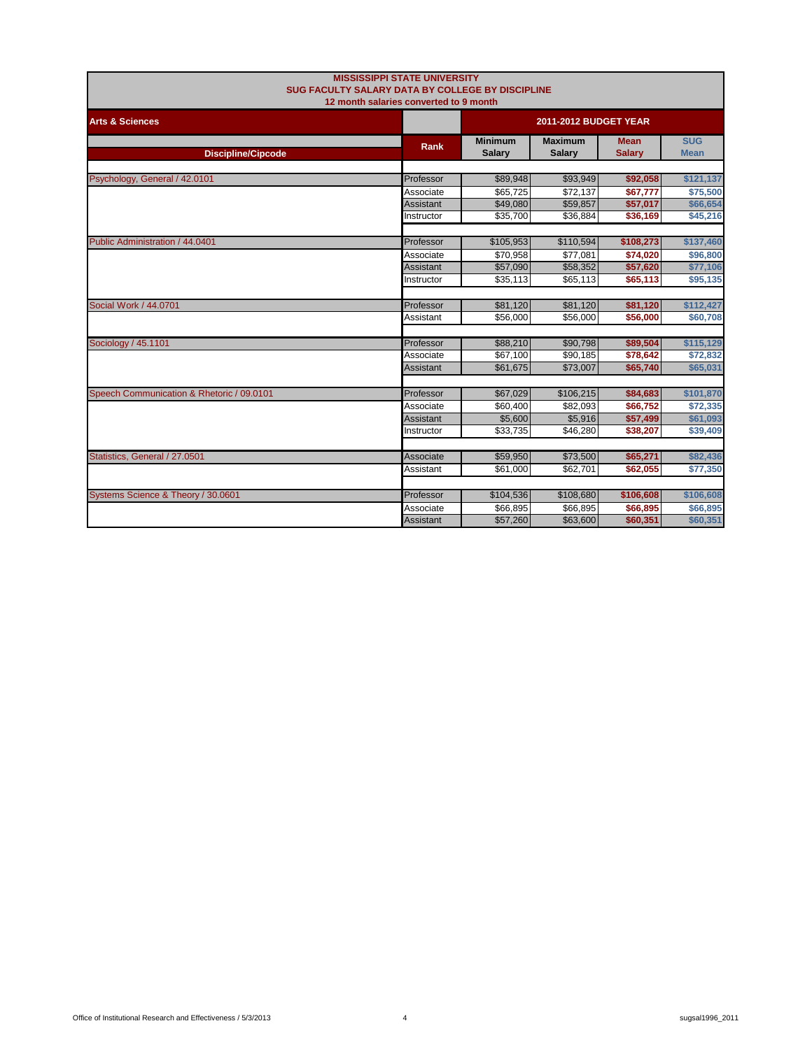| <b>MISSISSIPPI STATE UNIVERSITY</b><br>SUG FACULTY SALARY DATA BY COLLEGE BY DISCIPLINE<br>12 month salaries converted to 9 month |                  |                                 |                                 |                              |                           |
|-----------------------------------------------------------------------------------------------------------------------------------|------------------|---------------------------------|---------------------------------|------------------------------|---------------------------|
| <b>Arts &amp; Sciences</b>                                                                                                        |                  |                                 | 2011-2012 BUDGET YEAR           |                              |                           |
| <b>Discipline/Cipcode</b>                                                                                                         | <b>Rank</b>      | <b>Minimum</b><br><b>Salary</b> | <b>Maximum</b><br><b>Salary</b> | <b>Mean</b><br><b>Salary</b> | <b>SUG</b><br><b>Mean</b> |
| Psychology, General / 42.0101                                                                                                     | Professor        | \$89,948                        | \$93,949                        | \$92,058                     | \$121,137                 |
|                                                                                                                                   | Associate        | \$65,725                        | \$72,137                        | \$67,777                     | \$75,500                  |
|                                                                                                                                   | <b>Assistant</b> | \$49,080                        | \$59,857                        | \$57,017                     | \$66,654                  |
|                                                                                                                                   | Instructor       | \$35,700                        | \$36,884                        | \$36,169                     | \$45,216                  |
|                                                                                                                                   |                  |                                 |                                 |                              |                           |
| Public Administration / 44.0401                                                                                                   | Professor        | \$105,953                       | \$110,594                       | \$108,273                    | \$137,460                 |
|                                                                                                                                   | Associate        | \$70,958                        | \$77,081                        | \$74,020                     | \$96,800                  |
|                                                                                                                                   | <b>Assistant</b> | \$57,090                        | \$58,352                        | \$57,620                     | \$77,106                  |
|                                                                                                                                   | Instructor       | \$35,113                        | \$65,113                        | \$65,113                     | \$95,135                  |
|                                                                                                                                   |                  |                                 |                                 |                              |                           |
| Social Work / 44.0701                                                                                                             | Professor        | \$81,120                        | \$81,120                        | \$81,120                     | \$112,427                 |
|                                                                                                                                   | Assistant        | \$56,000                        | \$56,000                        | \$56,000                     | \$60,708                  |
|                                                                                                                                   |                  |                                 |                                 |                              |                           |
| Sociology / 45.1101                                                                                                               | Professor        | \$88,210                        | \$90,798                        | \$89,504                     | \$115,129                 |
|                                                                                                                                   | Associate        | \$67,100                        | \$90,185                        | \$78,642                     | \$72,832                  |
|                                                                                                                                   | Assistant        | \$61,675                        | \$73,007                        | \$65,740                     | \$65,031                  |
|                                                                                                                                   |                  |                                 |                                 |                              |                           |
| Speech Communication & Rhetoric / 09.0101                                                                                         | Professor        | \$67,029                        | \$106,215                       | \$84,683                     | \$101,870                 |
|                                                                                                                                   | Associate        | \$60,400                        | \$82.093                        | \$66,752                     | \$72,335                  |
|                                                                                                                                   | Assistant        | \$5,600                         | \$5,916                         | \$57,499                     | \$61,093                  |
|                                                                                                                                   | Instructor       | \$33,735                        | \$46,280                        | \$38,207                     | \$39,409                  |
|                                                                                                                                   |                  |                                 |                                 |                              |                           |
| Statistics, General / 27.0501                                                                                                     | Associate        | \$59,950                        | \$73,500                        | \$65,271                     | \$82,436                  |
|                                                                                                                                   | Assistant        | \$61,000                        | \$62,701                        | \$62,055                     | \$77,350                  |
|                                                                                                                                   |                  |                                 |                                 |                              |                           |
| Systems Science & Theory / 30.0601                                                                                                | Professor        | \$104,536                       | \$108,680                       | \$106,608                    | \$106,608                 |
|                                                                                                                                   | Associate        | \$66,895                        | \$66,895                        | \$66,895                     | \$66,895                  |
|                                                                                                                                   | Assistant        | \$57,260                        | \$63,600                        | \$60,351                     | \$60,351                  |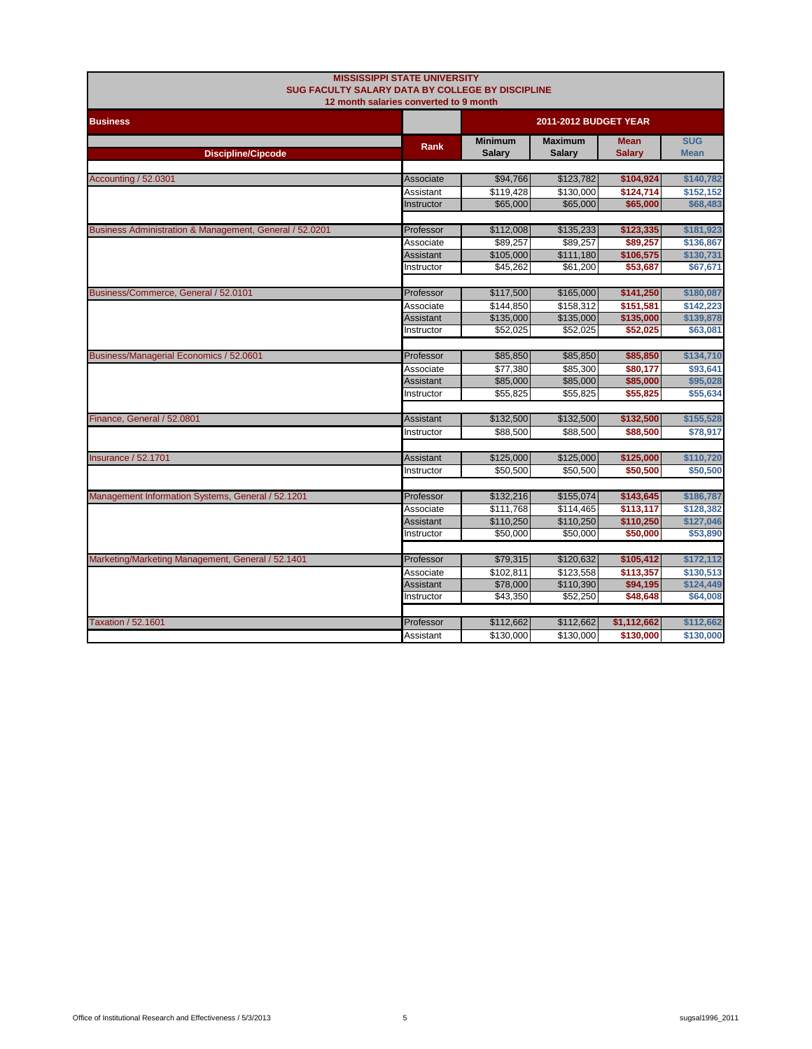| <b>MISSISSIPPI STATE UNIVERSITY</b><br>SUG FACULTY SALARY DATA BY COLLEGE BY DISCIPLINE<br>12 month salaries converted to 9 month |                        |                                 |                                 |                              |                           |  |
|-----------------------------------------------------------------------------------------------------------------------------------|------------------------|---------------------------------|---------------------------------|------------------------------|---------------------------|--|
| <b>Business</b>                                                                                                                   |                        |                                 | <b>2011-2012 BUDGET YEAR</b>    |                              |                           |  |
| <b>Discipline/Cipcode</b>                                                                                                         | <b>Rank</b>            | <b>Minimum</b><br><b>Salary</b> | <b>Maximum</b><br><b>Salary</b> | <b>Mean</b><br><b>Salary</b> | <b>SUG</b><br><b>Mean</b> |  |
| <b>Accounting / 52.0301</b>                                                                                                       | Associate              | \$94,766                        | \$123,782                       | \$104,924                    | \$140,782                 |  |
|                                                                                                                                   | Assistant              | \$119,428                       | \$130,000                       | \$124,714                    | \$152,152                 |  |
|                                                                                                                                   | Instructor             | \$65,000                        | \$65,000                        | \$65,000                     | \$68,483                  |  |
| Business Administration & Management, General / 52.0201                                                                           | Professor              | \$112,008                       | \$135,233                       | \$123,335                    | \$181,923                 |  |
|                                                                                                                                   | Associate              | \$89,257                        | \$89,257                        | \$89,257                     | \$136,867                 |  |
|                                                                                                                                   | Assistant              | \$105,000                       | \$111,180                       | \$106,575                    | \$130,731                 |  |
|                                                                                                                                   | Instructor             | \$45,262                        | \$61,200                        | \$53,687                     | \$67,671                  |  |
| Business/Commerce, General / 52.0101                                                                                              | Professor              | \$117,500                       | \$165,000                       | \$141,250                    | \$180,087                 |  |
|                                                                                                                                   | Associate              | \$144,850                       | \$158,312                       | \$151,581                    | \$142,223                 |  |
|                                                                                                                                   | <b>Assistant</b>       | \$135,000                       | \$135,000                       | \$135,000                    | \$139,878                 |  |
|                                                                                                                                   | Instructor             | \$52,025                        | \$52,025                        | \$52,025                     | \$63,081                  |  |
|                                                                                                                                   |                        |                                 |                                 |                              |                           |  |
| Business/Managerial Economics / 52.0601                                                                                           | Professor              | \$85,850                        | \$85,850                        | \$85,850                     | \$134,710                 |  |
|                                                                                                                                   | Associate<br>Assistant | \$77,380<br>\$85,000            | \$85,300<br>\$85,000            | \$80,177<br>\$85,000         | \$93,641<br>\$95,028      |  |
|                                                                                                                                   | Instructor             | \$55,825                        | \$55,825                        | \$55,825                     | \$55,634                  |  |
|                                                                                                                                   |                        |                                 |                                 |                              |                           |  |
| Finance, General / 52.0801                                                                                                        | Assistant              | \$132,500                       | \$132,500                       | \$132,500                    | \$155,528                 |  |
|                                                                                                                                   | Instructor             | \$88,500                        | \$88,500                        | \$88,500                     | \$78,917                  |  |
| <b>Insurance / 52.1701</b>                                                                                                        | Assistant              | \$125,000                       | \$125,000                       | \$125,000                    | \$110,720                 |  |
|                                                                                                                                   | Instructor             | \$50,500                        | \$50,500                        | \$50,500                     | \$50,500                  |  |
|                                                                                                                                   |                        |                                 |                                 |                              |                           |  |
| Management Information Systems, General / 52.1201                                                                                 | Professor              | \$132,216                       | \$155,074                       | \$143,645                    | \$186,787                 |  |
|                                                                                                                                   | Associate              | \$111,768                       | \$114,465                       | \$113,117                    | \$128,382                 |  |
|                                                                                                                                   | <b>Assistant</b>       | \$110,250                       | \$110,250                       | \$110,250                    | \$127,046                 |  |
|                                                                                                                                   | Instructor             | \$50,000                        | \$50,000                        | \$50,000                     | \$53,890                  |  |
| Marketing/Marketing Management, General / 52.1401                                                                                 | Professor              | \$79,315                        | \$120,632                       | \$105,412                    | \$172,112                 |  |
|                                                                                                                                   | Associate              | $\overline{$}102,811$           | \$123.558                       | \$113.357                    | \$130.513                 |  |
|                                                                                                                                   | Assistant              | \$78,000                        | \$110,390                       | \$94,195                     | \$124,449                 |  |
|                                                                                                                                   | Instructor             | \$43,350                        | \$52,250                        | \$48,648                     | \$64,008                  |  |
|                                                                                                                                   |                        |                                 |                                 |                              |                           |  |
| <b>Taxation / 52.1601</b>                                                                                                         | Professor              | \$112,662                       | \$112,662                       | \$1,112,662                  | \$112,662                 |  |
|                                                                                                                                   | Assistant              | \$130,000                       | \$130,000                       | \$130,000                    | \$130,000                 |  |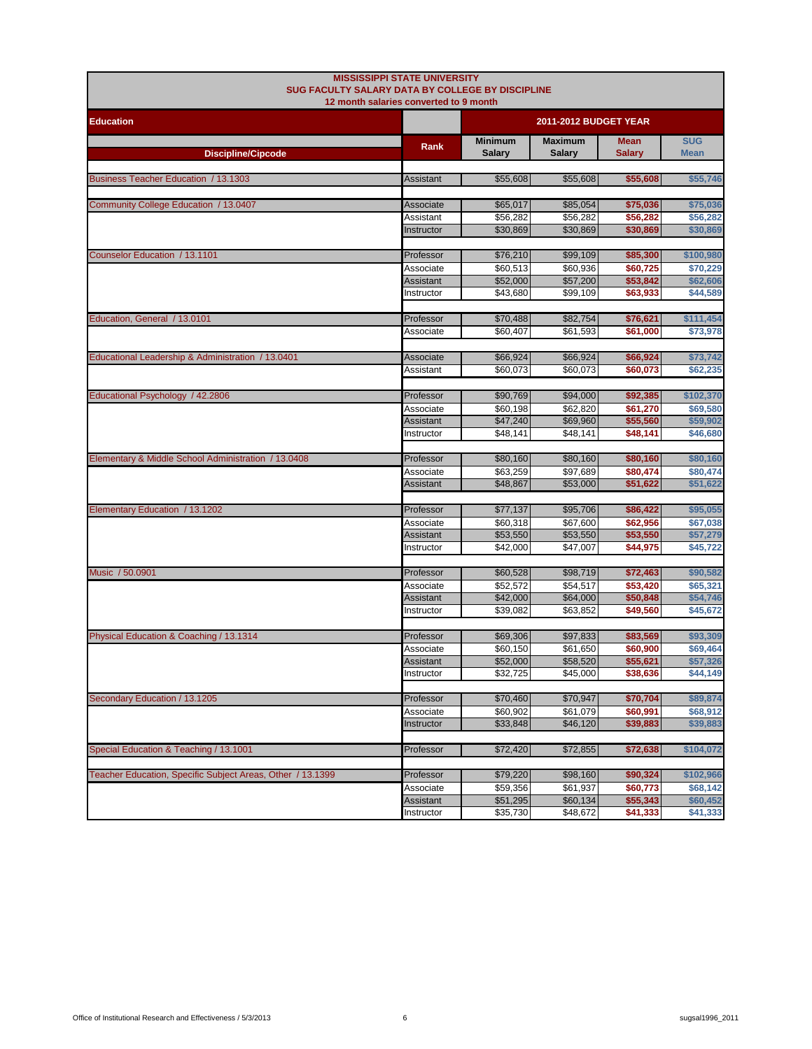| <b>MISSISSIPPI STATE UNIVERSITY</b><br>SUG FACULTY SALARY DATA BY COLLEGE BY DISCIPLINE |                                        |                                 |                                 |                              |                           |
|-----------------------------------------------------------------------------------------|----------------------------------------|---------------------------------|---------------------------------|------------------------------|---------------------------|
|                                                                                         | 12 month salaries converted to 9 month |                                 |                                 |                              |                           |
| <b>Education</b>                                                                        |                                        |                                 | 2011-2012 BUDGET YEAR           |                              |                           |
| <b>Discipline/Cipcode</b>                                                               | Rank                                   | <b>Minimum</b><br><b>Salary</b> | <b>Maximum</b><br><b>Salary</b> | <b>Mean</b><br><b>Salary</b> | <b>SUG</b><br><b>Mean</b> |
| Business Teacher Education / 13.1303                                                    | Assistant                              | \$55,608                        | \$55,608                        | \$55,608                     | \$55,746                  |
| Community College Education / 13.0407                                                   | Associate                              | \$65,017                        | \$85,054                        | \$75,036                     | \$75,036                  |
|                                                                                         | Assistant                              | \$56,282                        | \$56,282                        | \$56,282                     | \$56,282                  |
|                                                                                         | Instructor                             | \$30,869                        | \$30,869                        | \$30,869                     | \$30,869                  |
| Counselor Education / 13.1101                                                           | Professor                              | \$76,210                        | \$99,109                        | \$85,300                     | \$100,980                 |
|                                                                                         | Associate                              | \$60,513                        | \$60,936                        | \$60,725                     | \$70,229                  |
|                                                                                         | Assistant                              | \$52,000                        | \$57,200                        | \$53,842                     | \$62,606                  |
|                                                                                         | Instructor                             | \$43,680                        | \$99,109                        | \$63,933                     | \$44,589                  |
| Education, General / 13.0101                                                            | Professor                              | \$70,488                        | \$82,754                        | \$76,621                     | \$111,454                 |
|                                                                                         | Associate                              | \$60,407                        | \$61,593                        | \$61,000                     | \$73,978                  |
|                                                                                         |                                        |                                 |                                 |                              | \$73.742                  |
| Educational Leadership & Administration / 13.0401                                       | Associate<br>Assistant                 | \$66,924<br>\$60,073            | \$66,924<br>\$60,073            | \$66,924<br>\$60,073         | \$62,235                  |
|                                                                                         |                                        |                                 |                                 |                              |                           |
| Educational Psychology / 42.2806                                                        | Professor                              | \$90,769                        | \$94,000                        | \$92,385                     | \$102,370                 |
|                                                                                         | Associate                              | \$60,198                        | \$62,820                        | \$61,270                     | \$69,580                  |
|                                                                                         | Assistant                              | \$47,240                        | \$69,960                        | \$55,560                     | \$59,902                  |
|                                                                                         | Instructor                             | \$48,141                        | \$48,141                        | \$48,141                     | \$46,680                  |
| Elementary & Middle School Administration / 13.0408                                     | Professor                              | \$80,160                        | \$80,160                        | \$80,160                     | \$80,160                  |
|                                                                                         | Associate                              | \$63,259                        | \$97,689                        | \$80,474                     | \$80,474                  |
|                                                                                         | Assistant                              | \$48,867                        | \$53,000                        | \$51,622                     | \$51,622                  |
| Elementary Education / 13.1202                                                          | Professor                              | \$77,137                        | \$95,706                        | \$86,422                     | \$95,055                  |
|                                                                                         | Associate                              | \$60,318                        | \$67,600                        | \$62,956                     | \$67,038                  |
|                                                                                         | Assistant                              | \$53,550                        | \$53,550                        | \$53,550                     | \$57,279                  |
|                                                                                         | Instructor                             | \$42,000                        | \$47,007                        | \$44,975                     | \$45,722                  |
| Music / 50.0901                                                                         |                                        |                                 |                                 |                              |                           |
|                                                                                         | Professor<br>Associate                 | \$60,528<br>\$52,572            | \$98,719<br>\$54,517            | \$72,463<br>\$53,420         | \$90,582<br>\$65,321      |
|                                                                                         | Assistant                              | \$42,000                        | \$64,000                        | \$50,848                     | \$54,746                  |
|                                                                                         | Instructor                             | \$39,082                        | \$63,852                        | \$49,560                     | \$45,672                  |
|                                                                                         |                                        |                                 |                                 |                              |                           |
| Physical Education & Coaching / 13.1314                                                 | Professor                              | \$69,306                        | \$97,833                        | \$83,569                     | \$93,309                  |
|                                                                                         | Associate<br>Assistant                 | \$60,150<br>\$52,000            | \$61,650<br>\$58,520            | \$60,900<br>\$55,621         | \$69,464<br>\$57,326      |
|                                                                                         | Instructor                             | \$32,725                        | \$45,000                        | \$38,636                     | \$44,149                  |
|                                                                                         |                                        |                                 |                                 |                              |                           |
| Secondary Education / 13.1205                                                           | Professor                              | \$70,460                        | \$70,947                        | \$70,704                     | \$89,874                  |
|                                                                                         | Associate                              | \$60,902                        | \$61,079                        | \$60,991                     | \$68,912                  |
|                                                                                         | Instructor                             | \$33,848                        | \$46,120                        | \$39,883                     | \$39,883                  |
| Special Education & Teaching / 13.1001                                                  | Professor                              | \$72,420                        | \$72,855                        | \$72,638                     | \$104,072                 |
|                                                                                         |                                        |                                 |                                 |                              |                           |
| Teacher Education, Specific Subject Areas, Other / 13.1399                              | Professor                              | \$79,220                        | \$98,160                        | \$90,324                     | \$102,966                 |
|                                                                                         | Associate                              | \$59,356                        | \$61,937                        | \$60,773                     | \$68,142                  |
|                                                                                         | Assistant<br>Instructor                | \$51,295<br>\$35,730            | \$60,134<br>\$48,672            | \$55,343<br>\$41,333         | \$60,452<br>\$41,333      |
|                                                                                         |                                        |                                 |                                 |                              |                           |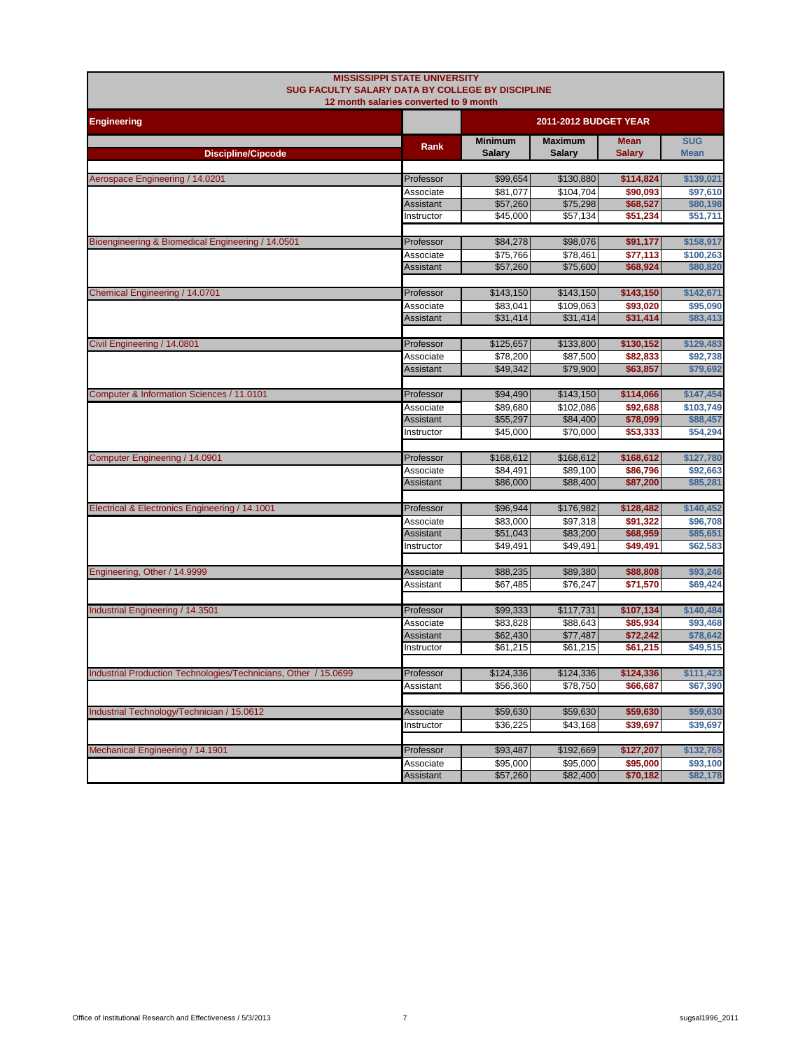| SUG FACULTY SALARY DATA BY COLLEGE BY DISCIPLINE                | <b>MISSISSIPPI STATE UNIVERSITY</b>    |                       |                       |                      |                      |  |
|-----------------------------------------------------------------|----------------------------------------|-----------------------|-----------------------|----------------------|----------------------|--|
|                                                                 | 12 month salaries converted to 9 month |                       |                       |                      |                      |  |
| <b>Engineering</b>                                              |                                        | 2011-2012 BUDGET YEAR |                       |                      |                      |  |
|                                                                 | Rank                                   | <b>Minimum</b>        | <b>Maximum</b>        | <b>Mean</b>          | <b>SUG</b>           |  |
| <b>Discipline/Cipcode</b>                                       |                                        | <b>Salary</b>         | <b>Salarv</b>         | <b>Salary</b>        | <b>Mean</b>          |  |
|                                                                 |                                        |                       |                       |                      |                      |  |
| Aerospace Engineering / 14.0201                                 | Professor                              | \$99,654              | \$130,880             | \$114,824            | \$139,021            |  |
|                                                                 | Associate<br><b>Assistant</b>          | \$81,077<br>\$57,260  | \$104,704<br>\$75,298 | \$90,093<br>\$68,527 | \$97,610<br>\$80,198 |  |
|                                                                 | Instructor                             | \$45.000              | \$57,134              | \$51.234             | \$51,711             |  |
|                                                                 |                                        |                       |                       |                      |                      |  |
| Bioengineering & Biomedical Engineering / 14.0501               | Professor                              | \$84,278              | \$98,076              | \$91,177             | \$158,917            |  |
|                                                                 | Associate                              | \$75,766              | \$78,461              | \$77,113             | \$100,263            |  |
|                                                                 | <b>Assistant</b>                       | \$57,260              | \$75,600              | \$68,924             | \$80,820             |  |
|                                                                 |                                        |                       |                       |                      |                      |  |
| Chemical Engineering / 14.0701                                  | Professor                              | \$143,150             | \$143,150             | \$143,150            | \$142,671            |  |
|                                                                 | Associate<br>Assistant                 | \$83,041<br>\$31,414  | \$109,063<br>\$31,414 | \$93,020<br>\$31,414 | \$95,090<br>\$83,413 |  |
|                                                                 |                                        |                       |                       |                      |                      |  |
| Civil Engineering / 14.0801                                     | Professor                              | \$125,657             | \$133,800             | \$130,152            | \$129,483            |  |
|                                                                 | Associate                              | \$78,200              | \$87,500              | \$82,833             | \$92,738             |  |
|                                                                 | <b>Assistant</b>                       | \$49,342              | \$79,900              | \$63,857             | \$79,692             |  |
|                                                                 |                                        |                       |                       |                      |                      |  |
| Computer & Information Sciences / 11.0101                       | Professor                              | \$94,490              | \$143,150             | \$114,066            | \$147,454            |  |
|                                                                 | Associate                              | \$89,680              | \$102,086             | \$92,688             | \$103,749            |  |
|                                                                 | Assistant                              | \$55,297              | \$84,400              | \$78,099             | \$88,457             |  |
|                                                                 | Instructor                             | \$45,000              | \$70,000              | \$53,333             | \$54,294             |  |
| Computer Engineering / 14.0901                                  | Professor                              | \$168,612             | \$168,612             | \$168,612            | \$127,780            |  |
|                                                                 | Associate                              | \$84,491              | \$89,100              | \$86,796             | \$92,663             |  |
|                                                                 | Assistant                              | \$86,000              | \$88,400              | \$87,200             | \$85,281             |  |
|                                                                 |                                        |                       |                       |                      |                      |  |
| Electrical & Electronics Engineering / 14.1001                  | Professor                              | \$96,944              | \$176,982             | \$128,482            | \$140,452            |  |
|                                                                 | Associate                              | \$83,000              | \$97,318              | \$91,322             | \$96,708             |  |
|                                                                 | Assistant                              | \$51,043              | \$83,200              | \$68,959             | \$85,651             |  |
|                                                                 | Instructor                             | \$49,491              | \$49,491              | \$49,491             | \$62,583             |  |
|                                                                 |                                        |                       |                       |                      |                      |  |
| Engineering, Other / 14.9999                                    | Associate<br>Assistant                 | \$88,235<br>\$67,485  | \$89,380<br>\$76,247  | \$88,808<br>\$71,570 | \$93,246<br>\$69,424 |  |
|                                                                 |                                        |                       |                       |                      |                      |  |
| Industrial Engineering / 14.3501                                | Professor                              | \$99,333              | \$117,731             | \$107,134            | \$140,484            |  |
|                                                                 | Associate                              | \$83.828              | \$88,643              | \$85,934             | \$93.468             |  |
|                                                                 | Assistant                              | \$62,430              | \$77,487              | \$72,242             | \$78,642             |  |
|                                                                 | Instructor                             | \$61,215              | \$61,215              | \$61,215             | \$49,515             |  |
|                                                                 |                                        |                       |                       |                      |                      |  |
| Industrial Production Technologies/Technicians, Other / 15.0699 | Professor                              | \$124,336             | \$124,336             | \$124,336            | \$111,423            |  |
|                                                                 | Assistant                              | \$56,360              | \$78,750              | \$66,687             | \$67,390             |  |
|                                                                 |                                        |                       |                       |                      |                      |  |
| Industrial Technology/Technician / 15.0612                      | Associate                              | \$59,630              | \$59,630              | \$59,630             | \$59,630             |  |
|                                                                 | Instructor                             | \$36,225              | \$43,168              | \$39,697             | \$39,697             |  |
| Mechanical Engineering / 14.1901                                | Professor                              | \$93,487              | \$192,669             | \$127,207            | \$132,765            |  |
|                                                                 | Associate                              | \$95,000              | \$95,000              | \$95,000             | \$93,100             |  |
|                                                                 | Assistant                              | \$57,260              | \$82,400              | \$70,182             | \$82,178             |  |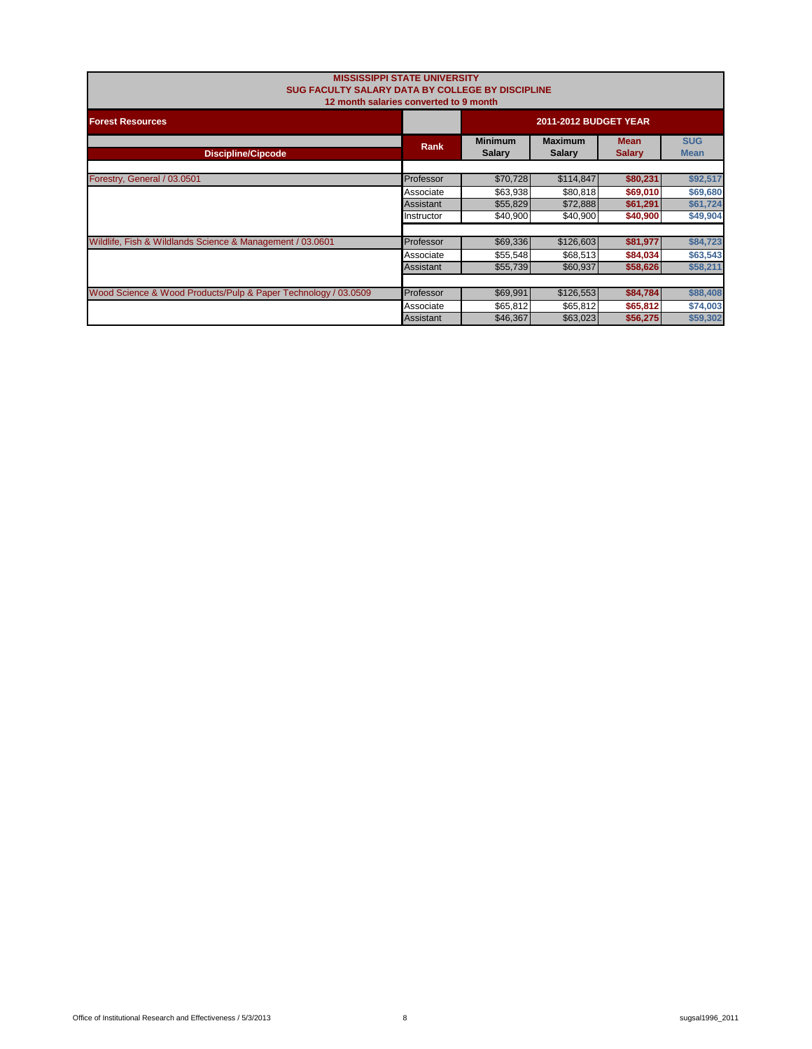| SUG FACULTY SALARY DATA BY COLLEGE BY DISCIPLINE<br>12 month salaries converted to 9 month | <b>MISSISSIPPI STATE UNIVERSITY</b> |                                 |                           |          |          |
|--------------------------------------------------------------------------------------------|-------------------------------------|---------------------------------|---------------------------|----------|----------|
| <b>Forest Resources</b>                                                                    |                                     | <b>2011-2012 BUDGET YEAR</b>    |                           |          |          |
| <b>Discipline/Cipcode</b>                                                                  | <b>Rank</b>                         | <b>Minimum</b><br><b>Salary</b> | <b>SUG</b><br><b>Mean</b> |          |          |
|                                                                                            |                                     |                                 |                           |          |          |
| Forestry, General / 03.0501                                                                | Professor                           | \$70,728                        | \$114,847                 | \$80,231 | \$92,517 |
|                                                                                            | Associate                           | \$63,938                        | \$80,818                  | \$69,010 | \$69,680 |
|                                                                                            | Assistant                           | \$55,829                        | \$72,888                  | \$61,291 | \$61,724 |
|                                                                                            | Instructor                          | \$40,900                        | \$40,900                  | \$40,900 | \$49,904 |
|                                                                                            |                                     |                                 |                           |          |          |
| Wildlife, Fish & Wildlands Science & Management / 03.0601                                  | Professor                           | \$69,336                        | \$126,603                 | \$81,977 | \$84,723 |
|                                                                                            | Associate                           | \$55,548                        | \$68,513                  | \$84,034 | \$63,543 |
|                                                                                            | Assistant                           | \$55,739                        | \$60,937                  | \$58,626 | \$58,211 |
|                                                                                            |                                     |                                 |                           |          |          |
| Wood Science & Wood Products/Pulp & Paper Technology / 03.0509                             | Professor                           | \$69,991                        | \$126,553                 | \$84,784 | \$88,408 |
|                                                                                            | Associate                           | \$65,812                        | \$65,812                  | \$65,812 | \$74,003 |
|                                                                                            | Assistant                           | \$46,367                        | \$63,023                  | \$56,275 | \$59,302 |